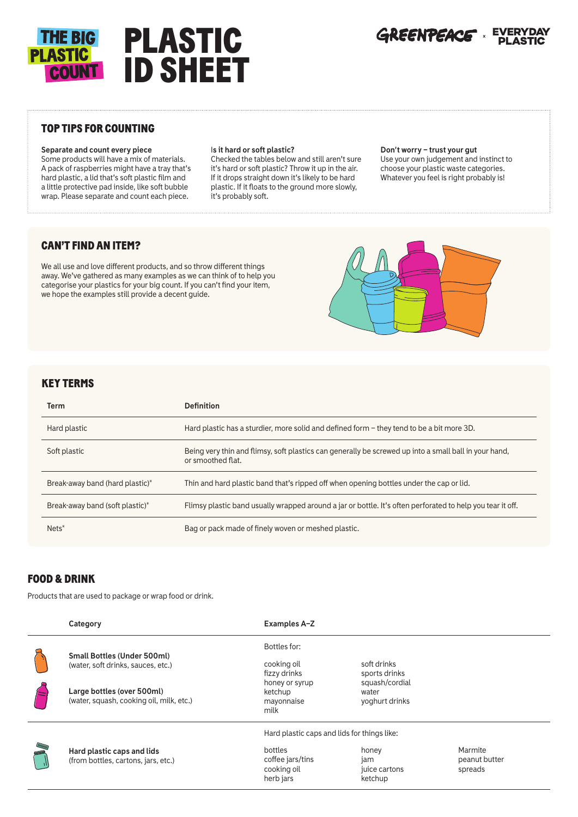

### TOP TIPS FOR COUNTING

**Separate and count every piece**

Some products will have a mix of materials. A pack of raspberries might have a tray that's hard plastic, a lid that's soft plastic film and a little protective pad inside, like soft bubble wrap. Please separate and count each piece.

#### I**s it hard or soft plastic?**

Checked the tables below and still aren't sure it's hard or soft plastic? Throw it up in the air. If it drops straight down it's likely to be hard plastic. If it floats to the ground more slowly, it's probably soft.

#### **Don't worry – trust your gut**

Use your own judgement and instinct to choose your plastic waste categories. Whatever you feel is right probably is!

## CAN'T FIND AN ITEM?

We all use and love different products, and so throw different things away. We've gathered as many examples as we can think of to help you categorise your plastics for your big count. If you can't find your item, we hope the examples still provide a decent guide.



#### KEY TERMS

| Term                            | <b>Definition</b>                                                                                                          |  |
|---------------------------------|----------------------------------------------------------------------------------------------------------------------------|--|
| Hard plastic                    | Hard plastic has a sturdier, more solid and defined form - they tend to be a bit more 3D.                                  |  |
| Soft plastic                    | Being very thin and flimsy, soft plastics can generally be screwed up into a small ball in your hand,<br>or smoothed flat. |  |
| Break-away band (hard plastic)* | Thin and hard plastic band that's ripped off when opening bottles under the cap or lid.                                    |  |
| Break-away band (soft plastic)* | Flimsy plastic band usually wrapped around a jar or bottle. It's often perforated to help you tear it off.                 |  |
| $Nets^*$                        | Bag or pack made of finely woven or meshed plastic.                                                                        |  |

### FOOD & DRINK

Products that are used to package or wrap food or drink.

| Category                                                                                                                                           | <b>Examples A-Z</b>                                                                                    |                                                                           |                                     |
|----------------------------------------------------------------------------------------------------------------------------------------------------|--------------------------------------------------------------------------------------------------------|---------------------------------------------------------------------------|-------------------------------------|
| <b>Small Bottles (Under 500ml)</b><br>(water, soft drinks, sauces, etc.)<br>Large bottles (over 500ml)<br>(water, squash, cooking oil, milk, etc.) | Bottles for:<br>cooking oil<br>fizzy drinks<br>honey or syrup<br>ketchup<br>mayonnaise<br>milk         | soft drinks<br>sports drinks<br>squash/cordial<br>water<br>yoghurt drinks |                                     |
| Hard plastic caps and lids<br>(from bottles, cartons, jars, etc.)                                                                                  | Hard plastic caps and lids for things like:<br>bottles<br>coffee jars/tins<br>cooking oil<br>herb jars | honey<br>jam<br>juice cartons<br>ketchup                                  | Marmite<br>peanut butter<br>spreads |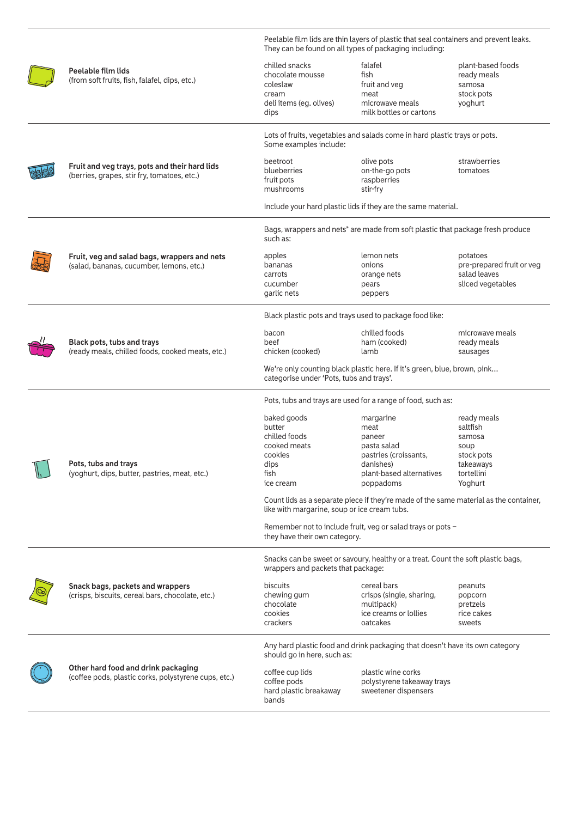|  |                                                                                              | Peelable film lids are thin layers of plastic that seal containers and prevent leaks.<br>They can be found on all types of packaging including: |                                                                                                                           |                                                                                               |
|--|----------------------------------------------------------------------------------------------|-------------------------------------------------------------------------------------------------------------------------------------------------|---------------------------------------------------------------------------------------------------------------------------|-----------------------------------------------------------------------------------------------|
|  | Peelable film lids<br>(from soft fruits, fish, falafel, dips, etc.)                          | chilled snacks<br>chocolate mousse<br>coleslaw<br>cream<br>deli items (eg. olives)<br>dips                                                      | falafel<br>fish<br>fruit and veg<br>meat<br>microwave meals<br>milk bottles or cartons                                    | plant-based foods<br>ready meals<br>samosa<br>stock pots<br>yoghurt                           |
|  |                                                                                              | Lots of fruits, vegetables and salads come in hard plastic trays or pots.<br>Some examples include:                                             |                                                                                                                           |                                                                                               |
|  | Fruit and veg trays, pots and their hard lids<br>(berries, grapes, stir fry, tomatoes, etc.) | beetroot<br>blueberries<br>fruit pots<br>mushrooms                                                                                              | olive pots<br>on-the-go pots<br>raspberries<br>stir-fry                                                                   | strawberries<br>tomatoes                                                                      |
|  |                                                                                              |                                                                                                                                                 | Include your hard plastic lids if they are the same material.                                                             |                                                                                               |
|  |                                                                                              | such as:                                                                                                                                        | Bags, wrappers and nets* are made from soft plastic that package fresh produce                                            |                                                                                               |
|  | Fruit, veg and salad bags, wrappers and nets<br>(salad, bananas, cucumber, lemons, etc.)     | apples<br>bananas<br>carrots<br>cucumber<br>garlic nets                                                                                         | lemon nets<br>onions<br>orange nets<br>pears<br>peppers                                                                   | potatoes<br>pre-prepared fruit or veg<br>salad leaves<br>sliced vegetables                    |
|  |                                                                                              | Black plastic pots and trays used to package food like:                                                                                         |                                                                                                                           |                                                                                               |
|  | Black pots, tubs and trays<br>(ready meals, chilled foods, cooked meats, etc.)               | bacon<br>beef<br>chicken (cooked)                                                                                                               | chilled foods<br>ham (cooked)<br>lamb                                                                                     | microwave meals<br>ready meals<br>sausages                                                    |
|  |                                                                                              | We're only counting black plastic here. If it's green, blue, brown, pink<br>categorise under 'Pots, tubs and trays'.                            |                                                                                                                           |                                                                                               |
|  |                                                                                              | Pots, tubs and trays are used for a range of food, such as:                                                                                     |                                                                                                                           |                                                                                               |
|  | Pots, tubs and trays<br>(yoghurt, dips, butter, pastries, meat, etc.)                        | baked goods<br>butter<br>chilled foods<br>cooked meats<br>cookies<br>dips<br>fish<br>ice cream                                                  | margarine<br>meat<br>paneer<br>pasta salad<br>pastries (croissants,<br>danishes)<br>plant-based alternatives<br>poppadoms | ready meals<br>saltfish<br>samosa<br>soup<br>stock pots<br>takeaways<br>tortellini<br>Yoghurt |
|  |                                                                                              | Count lids as a separate piece if they're made of the same material as the container,<br>like with margarine, soup or ice cream tubs.           |                                                                                                                           |                                                                                               |
|  |                                                                                              | Remember not to include fruit, veg or salad trays or pots -<br>they have their own category.                                                    |                                                                                                                           |                                                                                               |
|  |                                                                                              | wrappers and packets that package:                                                                                                              | Snacks can be sweet or savoury, healthy or a treat. Count the soft plastic bags,                                          |                                                                                               |
|  | Snack bags, packets and wrappers<br>(crisps, biscuits, cereal bars, chocolate, etc.)         | biscuits<br>chewing gum<br>chocolate<br>cookies<br>crackers                                                                                     | cereal bars<br>crisps (single, sharing,<br>multipack)<br>ice creams or lollies<br>oatcakes                                | peanuts<br>popcorn<br>pretzels<br>rice cakes<br>sweets                                        |
|  |                                                                                              | should go in here, such as:                                                                                                                     | Any hard plastic food and drink packaging that doesn't have its own category                                              |                                                                                               |
|  | Other hard food and drink packaging<br>(coffee pods, plastic corks, polystyrene cups, etc.)  | coffee cup lids<br>coffee pods<br>hard plastic breakaway<br>bands                                                                               | plastic wine corks<br>polystyrene takeaway trays<br>sweetener dispensers                                                  |                                                                                               |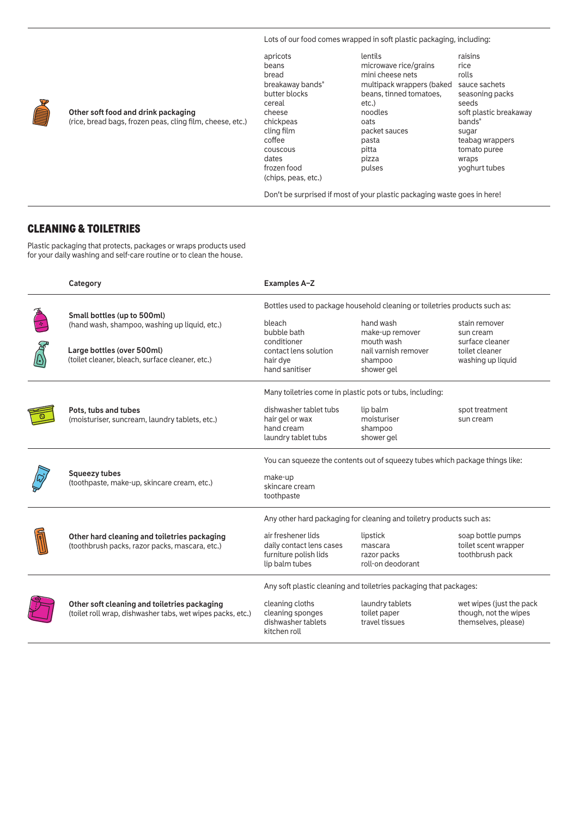Lots of our food comes wrapped in soft plastic packaging, including:

| apricots            | lentils                   | raisins                |
|---------------------|---------------------------|------------------------|
| beans               | microwave rice/grains     | rice                   |
| bread               | mini cheese nets          | rolls                  |
| breakaway bands*    | multipack wrappers (baked | sauce sachets          |
| butter blocks       | beans, tinned tomatoes,   | seasoning packs        |
| cereal              | etc.)                     | seeds                  |
| cheese              | noodles                   | soft plastic breakaway |
| chickpeas           | oats                      | $bands*$               |
| cling film          | packet sauces             | sugar                  |
| coffee              | pasta                     | teabag wrappers        |
| couscous            | pitta                     | tomato puree           |
| dates               | pizza                     | wraps                  |
| frozen food         | pulses                    | yoghurt tubes          |
| (chips, peas, etc.) |                           |                        |

Don't be surprised if most of your plastic packaging waste goes in here!

# CLEANING & TOILETRIES

Plastic packaging that protects, packages or wraps products used for your daily washing and self-care routine or to clean the house.

| Category                                                                                                   | <b>Examples A-Z</b>                                                                       |                                                             |                                                                          |
|------------------------------------------------------------------------------------------------------------|-------------------------------------------------------------------------------------------|-------------------------------------------------------------|--------------------------------------------------------------------------|
| Small bottles (up to 500ml)                                                                                | Bottles used to package household cleaning or toiletries products such as:                |                                                             |                                                                          |
| (hand wash, shampoo, washing up liquid, etc.)                                                              | bleach<br>bubble bath                                                                     | hand wash<br>make-up remover                                | stain remover<br>sun cream                                               |
| Large bottles (over 500ml)<br>(toilet cleaner, bleach, surface cleaner, etc.)                              | conditioner<br>contact lens solution<br>hair dye<br>hand sanitiser                        | mouth wash<br>nail varnish remover<br>shampoo<br>shower gel | surface cleaner<br>toilet cleaner<br>washing up liquid                   |
|                                                                                                            | Many toiletries come in plastic pots or tubs, including:                                  |                                                             |                                                                          |
| Pots, tubs and tubes<br>(moisturiser, suncream, laundry tablets, etc.)                                     | dishwasher tablet tubs<br>hair gel or wax<br>hand cream<br>laundry tablet tubs            | lip balm<br>moisturiser<br>shampoo<br>shower gel            | spot treatment<br>sun cream                                              |
|                                                                                                            | You can squeeze the contents out of squeezy tubes which package things like:              |                                                             |                                                                          |
| <b>Squeezy tubes</b><br>(toothpaste, make-up, skincare cream, etc.)                                        | make-up<br>skincare cream<br>toothpaste                                                   |                                                             |                                                                          |
|                                                                                                            | Any other hard packaging for cleaning and toiletry products such as:                      |                                                             |                                                                          |
| Other hard cleaning and toiletries packaging<br>(toothbrush packs, razor packs, mascara, etc.)             | air freshener lids<br>daily contact lens cases<br>furniture polish lids<br>lip balm tubes | lipstick<br>mascara<br>razor packs<br>roll-on deodorant     | soap bottle pumps<br>toilet scent wrapper<br>toothbrush pack             |
| Any soft plastic cleaning and toiletries packaging that packages:                                          |                                                                                           |                                                             |                                                                          |
| Other soft cleaning and toiletries packaging<br>(toilet roll wrap, dishwasher tabs, wet wipes packs, etc.) | cleaning cloths<br>cleaning sponges<br>dishwasher tablets<br>kitchen roll                 | laundry tablets<br>toilet paper<br>travel tissues           | wet wipes (just the pack<br>though, not the wipes<br>themselves, please) |



**Other soft food and drink packaging** (rice, bread bags, frozen peas, cling film, cheese, etc.)